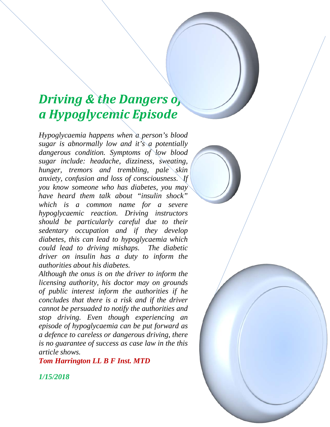# *Driving & the Dangers of a Hypoglycemic Episode*

*Hypoglycaemia happens when a person's blood sugar is abnormally low and it's a potentially dangerous condition. Symptoms of low blood sugar include: headache, dizziness, sweating, hunger, tremors and trembling, pale skin anxiety, confusion and loss of consciousness. If you know someone who has diabetes, you may have heard them talk about "insulin shock" which is a common name for a severe hypoglycaemic reaction. Driving instructors should be particularly careful due to their sedentary occupation and if they develop diabetes, this can lead to hypoglycaemia which could lead to driving mishaps. The diabetic driver on insulin has a duty to inform the authorities about his diabetes.*

*Although the onus is on the driver to inform the licensing authority, his doctor may on grounds of public interest inform the authorities if he concludes that there is a risk and if the driver cannot be persuaded to notify the authorities and stop driving. Even though experiencing an episode of hypoglycaemia can be put forward as a defence to careless or dangerous driving, there is no guarantee of success as case law in the this article shows.* 

*Tom Harrington LL B F Inst. MTD*

*1/15/2018*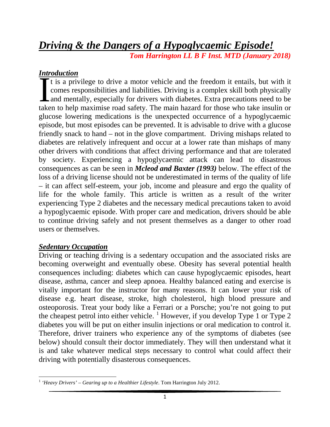# *Driving & the Dangers of a Hypoglycaemic Episode! Tom Harrington LL B F Inst. MTD (January 2018)*

# *Introduction*

It is a privilege to drive a motor vehicle and the freedom it entails, but with it comes responsibilities and liabilities. Driving is a complex skill both physically and mentally, especially for drivers with diabetes. Extra precautions need to be It is a privilege to drive a motor vehicle and the freedom it entails, but with it comes responsibilities and liabilities. Driving is a complex skill both physically and mentally, especially for drivers with diabetes. Extr glucose lowering medications is the unexpected occurrence of a hypoglycaemic episode, but most episodes can be prevented. It is advisable to drive with a glucose friendly snack to hand – not in the glove compartment. Driving mishaps related to diabetes are relatively infrequent and occur at a lower rate than mishaps of many other drivers with conditions that affect driving performance and that are tolerated by society. Experiencing a hypoglycaemic attack can lead to disastrous consequences as can be seen in *Mcleod and Baxter (1993)* below. The effect of the loss of a driving license should not be underestimated in terms of the quality of life – it can affect self-esteem, your job, income and pleasure and ergo the quality of life for the whole family. This article is written as a result of the writer experiencing Type 2 diabetes and the necessary medical precautions taken to avoid a hypoglycaemic episode. With proper care and medication, drivers should be able to continue driving safely and not present themselves as a danger to other road users or themselves.

# *Sedentary Occupation*

Driving or teaching driving is a sedentary occupation and the associated risks are becoming overweight and eventually obese. Obesity has several potential health consequences including: diabetes which can cause hypoglycaemic episodes, heart disease, asthma, cancer and sleep apnoea. Healthy balanced eating and exercise is vitally important for the instructor for many reasons. It can lower your risk of disease e.g. heart disease, stroke, high cholesterol, high blood pressure and osteoporosis. Treat your body like a Ferrari or a Porsche; you're not going to put the cheapest petrol into either vehicle.  $\frac{1}{1}$  $\frac{1}{1}$  $\frac{1}{1}$  However, if you develop Type 1 or Type 2 diabetes you will be put on either insulin injections or oral medication to control it. Therefore, driver trainers who experience any of the symptoms of diabetes (see below) should consult their doctor immediately. They will then understand what it is and take whatever medical steps necessary to control what could affect their driving with potentially disasterous consequences.

<span id="page-1-0"></span><sup>1</sup> *'Heavy Drivers' – Gearing up to a Healthier Lifestyle*. Tom Harrington July 2012.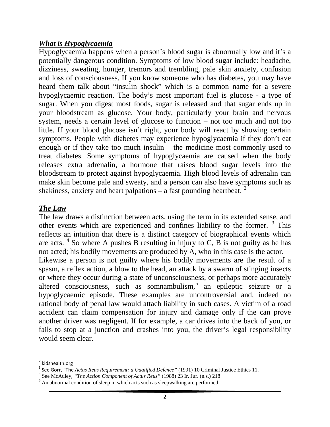#### *What is Hypoglycaemia*

Hypoglycaemia happens when a person's blood sugar is abnormally low and it's a potentially dangerous condition. Symptoms of low blood sugar include: headache, dizziness, sweating, hunger, tremors and trembling, pale skin anxiety, confusion and loss of consciousness. If you know someone who has diabetes, you may have heard them talk about "insulin shock" which is a common name for a severe hypoglycaemic reaction. The body's most important fuel is glucose - a type of sugar. When you digest most foods, sugar is released and that sugar ends up in your bloodstream as glucose. Your body, particularly your brain and nervous system, needs a certain level of glucose to function – not too much and not too little. If your blood glucose isn't right, your body will react by showing certain symptoms. People with diabetes may experience hypoglycaemia if they don't eat enough or if they take too much insulin – the medicine most commonly used to treat diabetes. Some symptoms of hypoglycaemia are caused when the body releases extra adrenalin, a hormone that raises blood sugar levels into the bloodstream to protect against hypoglycaemia. High blood levels of adrenalin can make skin become pale and sweaty, and a person can also have symptoms such as shakiness, anxiety and heart palpations – a fast pounding heartbeat.  $2^2$  $2^2$ 

# *The Law*

The law draws a distinction between acts, using the term in its extended sense, and other events which are experienced and confines liability to the former.  $3$  This reflects an intuition that there is a distinct category of biographical events which are acts.  $4$  So where A pushes B resulting in injury to C, B is not guilty as he has not acted; his bodily movements are produced by A, who in this case is the actor. Likewise a person is not guilty where his bodily movements are the result of a spasm, a reflex action, a blow to the head, an attack by a swarm of stinging insects or where they occur during a state of unconsciousness, or perhaps more accurately altered consciousness, such as somnambulism,<sup>[5](#page-2-3)</sup> an epileptic seizure or a hypoglycaemic episode. These examples are uncontroversial and, indeed no rational body of penal law would attach liability in such cases. A victim of a road accident can claim compensation for injury and damage only if the can prove another driver was negligent. If for example, a car drives into the back of you, or fails to stop at a junction and crashes into you, the driver's legal responsibility would seem clear.

<span id="page-2-0"></span>

<sup>&</sup>lt;sup>2</sup> kidshealth.org<br><sup>3</sup> See Gorr, "The Actus Reus Requirement: a Qualified Defence" (1991) 10 Criminal Justice Ethics 11.

<span id="page-2-3"></span><span id="page-2-2"></span><span id="page-2-1"></span><sup>&</sup>lt;sup>4</sup> See McAuley, "*The Action Component of Actus Reus*" (1988) 23 Ir. Jur. (n.s.) 218<br><sup>5</sup> An abnormal condition of sleep in which acts such as sleepwalking are performed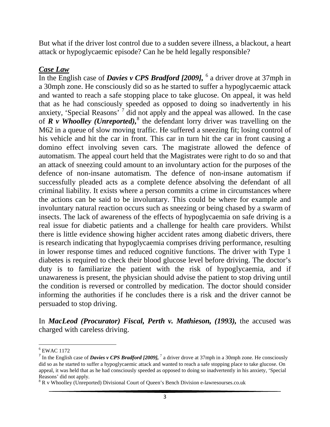But what if the driver lost control due to a sudden severe illness, a blackout, a heart attack or hypoglycaemic episode? Can he be held legally responsible?

#### *Case Law*

In the English case of *Davies v CPS Bradford [2009],* [6](#page-3-0) a driver drove at 37mph in a 30mph zone. He consciously did so as he started to suffer a hypoglycaemic attack and wanted to reach a safe stopping place to take glucose. On appeal, it was held that as he had consciously speeded as opposed to doing so inadvertently in his anxiety, 'Special Reasons'  $\frac{1}{4}$  did not apply and the appeal was allowed. In the case of  $\vec{R}$  *v* Whoolley (Unreported),<sup>[8](#page-3-2)</sup> the defendant lorry driver was travelling on the M62 in a queue of slow moving traffic. He suffered a sneezing fit; losing control of his vehicle and hit the car in front. This car in turn hit the car in front causing a domino effect involving seven cars. The magistrate allowed the defence of automatism. The appeal court held that the Magistrates were right to do so and that an attack of sneezing could amount to an involuntary action for the purposes of the defence of non-insane automatism. The defence of non-insane automatism if successfully pleaded acts as a complete defence absolving the defendant of all criminal liability. It exists where a person commits a crime in circumstances where the actions can be said to be involuntary. This could be where for example and involuntary natural reaction occurs such as sneezing or being chased by a swarm of insects. The lack of awareness of the effects of hypoglycaemia on safe driving is a real issue for diabetic patients and a challenge for health care providers. Whilst there is little evidence showing higher accident rates among diabetic drivers, there is research indicating that hypoglycaemia comprises driving performance, resulting in lower response times and reduced cognitive functions. The driver with Type 1 diabetes is required to check their blood glucose level before driving. The doctor's duty is to familiarize the patient with the risk of hypoglycaemia, and if unawareness is present, the physician should advise the patient to stop driving until the condition is reversed or controlled by medication. The doctor should consider informing the authorities if he concludes there is a risk and the driver cannot be persuaded to stop driving.

In *MacLeod (Procurator) Fiscal, Perth v. Mathieson, (1993),* the accused was charged with careless driving.

<span id="page-3-0"></span><sup>6</sup> EWAC 1172

<span id="page-3-1"></span><sup>&</sup>lt;sup>7</sup> In the English case of *Davies v CPS Bradford [2009]*, <sup>7</sup> a driver drove at 37mph in a 30mph zone. He consciously did so as he started to suffer a hypoglycaemic attack and wanted to reach a safe stopping place to take glucose. On appeal, it was held that as he had consciously speeded as opposed to doing so inadvertently in his anxiety, 'Special Reasons' did not apply.

<span id="page-3-2"></span><sup>&</sup>lt;sup>8</sup> R v Whoolley (Unreported) Divisional Court of Queen's Bench Division e-lawresourses.co.uk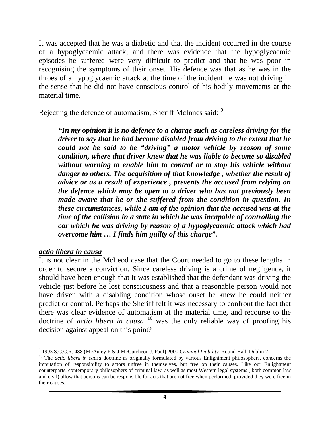It was accepted that he was a diabetic and that the incident occurred in the course of a hypoglycaemic attack; and there was evidence that the hypoglycaemic episodes he suffered were very difficult to predict and that he was poor in recognising the symptoms of their onset. His defence was that as he was in the throes of a hypoglycaemic attack at the time of the incident he was not driving in the sense that he did not have conscious control of his bodily movements at the material time.

Rejecting the defence of automatism, Sheriff McInnes said: [9](#page-4-0)

*"In my opinion it is no defence to a charge such as careless driving for the driver to say that he had become disabled from driving to the extent that he could not be said to be "driving" a motor vehicle by reason of some condition, where that driver knew that he was liable to become so disabled without warning to enable him to control or to stop his vehicle without danger to others. The acquisition of that knowledge , whether the result of advice or as a result of experience , prevents the accused from relying on the defence which may be open to a driver who has not previously been made aware that he or she suffered from the condition in question. In these circumstances, while I am of the opinion that the accused was at the time of the collision in a state in which he was incapable of controlling the car which he was driving by reason of a hypoglycaemic attack which had overcome him … I finds him guilty of this charge".* 

#### *actio libera in causa*

It is not clear in the McLeod case that the Court needed to go to these lengths in order to secure a conviction. Since careless driving is a crime of negligence, it should have been enough that it was established that the defendant was driving the vehicle just before he lost consciousness and that a reasonable person would not have driven with a disabling condition whose onset he knew he could neither predict or control. Perhaps the Sheriff felt it was necessary to confront the fact that there was clear evidence of automatism at the material time, and recourse to the doctrine of *actio libera in causa* [10](#page-4-1) was the only reliable way of proofing his decision against appeal on this point?

<span id="page-4-0"></span><sup>&</sup>lt;sup>9</sup> 1993 S.C.C.R. 488 (McAuley F & J McCutcheon J. Paul) 2000 *Criminal Liability* Round Hall, Dublin 2<sup>10</sup> The *actio libera in causa* doctrine as originally formulated by various Enlightment philosophers, concerns the

<span id="page-4-1"></span>imputation of responsibility to actors unfree in themselves, but free on their causes. Like our Enlightment counterparts, contemporary philosophers of criminal law, as well as most Western legal systems ( both common law and civil) allow that persons can be responsible for acts that are not free when performed, provided they were free in their causes.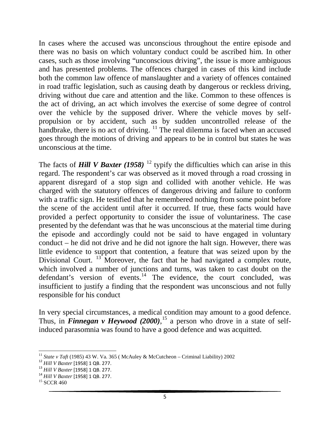In cases where the accused was unconscious throughout the entire episode and there was no basis on which voluntary conduct could be ascribed him. In other cases, such as those involving "unconscious driving", the issue is more ambiguous and has presented problems. The offences charged in cases of this kind include both the common law offence of manslaughter and a variety of offences contained in road traffic legislation, such as causing death by dangerous or reckless driving, driving without due care and attention and the like. Common to these offences is the act of driving, an act which involves the exercise of some degree of control over the vehicle by the supposed driver. Where the vehicle moves by selfpropulsion or by accident, such as by sudden uncontrolled release of the handbrake, there is no act of driving.  $\frac{11}{1}$  $\frac{11}{1}$  $\frac{11}{1}$  The real dilemma is faced when an accused goes through the motions of driving and appears to be in control but states he was unconscious at the time.

The facts of **Hill V Baxter** (1958)<sup>[12](#page-5-1)</sup> typify the difficulties which can arise in this regard. The respondent's car was observed as it moved through a road crossing in apparent disregard of a stop sign and collided with another vehicle. He was charged with the statutory offences of dangerous driving and failure to conform with a traffic sign. He testified that he remembered nothing from some point before the scene of the accident until after it occurred. If true, these facts would have provided a perfect opportunity to consider the issue of voluntariness. The case presented by the defendant was that he was unconscious at the material time during the episode and accordingly could not be said to have engaged in voluntary conduct – he did not drive and he did not ignore the halt sign. However, there was little evidence to support that contention, a feature that was seized upon by the Divisional Court.  $13$  Moreover, the fact that he had navigated a complex route, which involved a number of junctions and turns, was taken to cast doubt on the defendant's version of events. $14$  The evidence, the court concluded, was insufficient to justify a finding that the respondent was unconscious and not fully responsible for his conduct

In very special circumstances, a medical condition may amount to a good defence. Thus, in *Finnegan v Heywood (2000)*,<sup>[15](#page-5-4)</sup> a person who drove in a state of selfinduced parasomnia was found to have a good defence and was acquitted.

<span id="page-5-1"></span><span id="page-5-0"></span><sup>&</sup>lt;sup>11</sup> State v Taft (1985) 43 W. Va. 365 (McAuley & McCutcheon – Criminal Liability) 2002<br><sup>12</sup> Hill V Baxter [1958] 1 QB. 277.<br><sup>13</sup> Hill V Baxter [1958] 1 QB. 277.<br><sup>14</sup> Hill V Baxter [1958] 1 QB. 277.<br><sup>14</sup> Hill V Baxter [19

<span id="page-5-2"></span>

<span id="page-5-4"></span><span id="page-5-3"></span>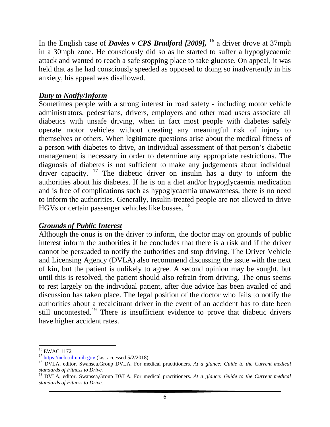In the English case of *Davies v CPS Bradford [2009],* [16](#page-6-0) a driver drove at 37mph in a 30mph zone. He consciously did so as he started to suffer a hypoglycaemic attack and wanted to reach a safe stopping place to take glucose. On appeal, it was held that as he had consciously speeded as opposed to doing so inadvertently in his anxiety, his appeal was disallowed.

# *Duty to Notify/Inform*

Sometimes people with a strong interest in road safety - including motor vehicle administrators, pedestrians, drivers, employers and other road users associate all diabetics with unsafe driving, when in fact most people with diabetes safely operate motor vehicles without creating any meaningful risk of injury to themselves or others. When legitimate questions arise about the medical fitness of a person with diabetes to drive, an individual assessment of that person's diabetic management is necessary in order to determine any appropriate restrictions. The diagnosis of diabetes is not sufficient to make any judgements about individual driver capacity.  $17$  The diabetic driver on insulin has a duty to inform the authorities about his diabetes. If he is on a diet and/or hypoglycaemia medication and is free of complications such as hypoglycaemia unawareness, there is no need to inform the authorities. Generally, insulin-treated people are not allowed to drive HGVs or certain passenger vehicles like busses. <sup>[18](#page-6-2)</sup>

# *Grounds of Public Interest*

Although the onus is on the driver to inform, the doctor may on grounds of public interest inform the authorities if he concludes that there is a risk and if the driver cannot be persuaded to notify the authorities and stop driving. The Driver Vehicle and Licensing Agency (DVLA) also recommend discussing the issue with the next of kin, but the patient is unlikely to agree. A second opinion may be sought, but until this is resolved, the patient should also refrain from driving. The onus seems to rest largely on the individual patient, after due advice has been availed of and discussion has taken place. The legal position of the doctor who fails to notify the authorities about a recalcitrant driver in the event of an accident has to date been still uncontested.<sup>[19](#page-6-3)</sup> There is insufficient evidence to prove that diabetic drivers have higher accident rates.

<span id="page-6-2"></span><span id="page-6-1"></span>

<span id="page-6-0"></span><sup>&</sup>lt;sup>16</sup> EWAC 1172<br><sup>17</sup> [https://ncbi.nlm.nih.gov](https://ncbi.nlm.nih.gov/) (last accessed 5/2/2018)<br><sup>18</sup> DVLA, editor. Swansea,Group DVLA. For medical practitioners. *At a glance: Guide to the Current medical standards of Fitness to Drive.*

<span id="page-6-3"></span><sup>19</sup> DVLA, editor. Swansea,Group DVLA. For medical practitioners. *At a glance: Guide to the Current medical standards of Fitness to Drive.*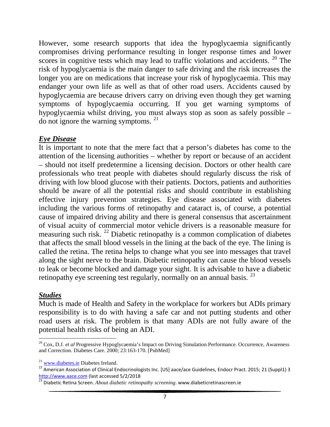However, some research supports that idea the hypoglycaemia significantly compromises driving performance resulting in longer response times and lower scores in cognitive tests which may lead to traffic violations and accidents. <sup>[20](#page-7-0)</sup> The risk of hypoglycaemia is the main danger to safe driving and the risk increases the longer you are on medications that increase your risk of hypoglycaemia. This may endanger your own life as well as that of other road users. Accidents caused by hypoglycaemia are because drivers carry on driving even though they get warning symptoms of hypoglycaemia occurring. If you get warning symptoms of hypoglycaemia whilst driving, you must always stop as soon as safely possible – do not ignore the warning symptoms. [21](#page-7-1)

# *Eye Disease*

It is important to note that the mere fact that a person's diabetes has come to the attention of the licensing authorities – whether by report or because of an accident – should not itself predetermine a licensing decision. Doctors or other health care professionals who treat people with diabetes should regularly discuss the risk of driving with low blood glucose with their patients. Doctors, patients and authorities should be aware of all the potential risks and should contribute in establishing effective injury prevention strategies. Eye disease associated with diabetes including the various forms of retinopathy and cataract is, of course, a potential cause of impaired driving ability and there is general consensus that ascertainment of visual acuity of commercial motor vehicle drivers is a reasonable measure for measuring such risk. [22](#page-7-2) Diabetic retinopathy is a common complication of diabetes that affects the small blood vessels in the lining at the back of the eye. The lining is called the retina. The retina helps to change what you see into messages that travel along the sight nerve to the brain. Diabetic retinopathy can cause the blood vessels to leak or become blocked and damage your sight. It is advisable to have a diabetic retinopathy eye screening test regularly, normally on an annual basis. <sup>[23](#page-7-3)</sup>

# *Studies*

Much is made of Health and Safety in the workplace for workers but ADIs primary responsibility is to do with having a safe car and not putting students and other road users at risk. The problem is that many ADIs are not fully aware of the potential health risks of being an ADI.

<span id="page-7-0"></span><sup>20</sup> Cox, D.J. *et al* Progressive Hypoglycaemia's Impact on Driving Simulation Performance. Occurrence, Awareness and Correction. Diabetes Care. 2000; 23:163-170. [PubMed]

<span id="page-7-2"></span><span id="page-7-1"></span><sup>&</sup>lt;sup>21</sup> [www.diabetes.ie](http://www.diabetes.ie/) Diabetes Ireland.<br><sup>22</sup> American Association of Clinical Endocrinologists Inc. [US] aace/ace Guidelines, Endocr Pract. 2015; 21 (Suppl1) 3<br>http://www.aace.com (last accessed 5/2/2018

<span id="page-7-3"></span><sup>&</sup>lt;sup>23</sup> Diabetic Retina Screen. *About diabetic retinopathy screening*. www.diabeticretinascreen.ie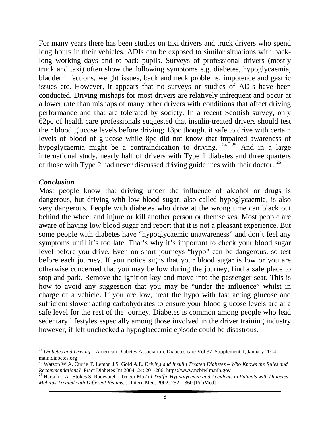For many years there has been studies on taxi drivers and truck drivers who spend long hours in their vehicles. ADIs can be exposed to similar situations with backlong working days and to-back pupils. Surveys of professional drivers (mostly truck and taxi) often show the following symptoms e.g. diabetes, hypoglycaemia, bladder infections, weight issues, back and neck problems, impotence and gastric issues etc. However, it appears that no surveys or studies of ADIs have been conducted. Driving mishaps for most drivers are relatively infrequent and occur at a lower rate than mishaps of many other drivers with conditions that affect driving performance and that are tolerated by society. In a recent Scottish survey, only 62pc of health care professionals suggested that insulin-treated drivers should test their blood glucose levels before driving; 13pc thought it safe to drive with certain levels of blood of glucose while 8pc did not know that impaired awareness of hypoglycaemia might be a contraindication to driving.  $24^{2}$  $24^{2}$  and in a large international study, nearly half of drivers with Type 1 diabetes and three quarters of those with Type 2 had never discussed driving guidelines with their doctor.  $^{26}$  $^{26}$  $^{26}$ 

#### *Conclusion*

Most people know that driving under the influence of alcohol or drugs is dangerous, but driving with low blood sugar, also called hypoglycaemia, is also very dangerous. People with diabetes who drive at the wrong time can black out behind the wheel and injure or kill another person or themselves. Most people are aware of having low blood sugar and report that it is not a pleasant experience. But some people with diabetes have "hypoglycaemic unawareness" and don't feel any symptoms until it's too late. That's why it's important to check your blood sugar level before you drive. Even on short journeys "hypo" can be dangerous, so test before each journey. If you notice signs that your blood sugar is low or you are otherwise concerned that you may be low during the journey, find a safe place to stop and park. Remove the ignition key and move into the passenger seat. This is how to avoid any suggestion that you may be "under the influence" whilst in charge of a vehicle. If you are low, treat the hypo with fast acting glucose and sufficient slower acting carbohydrates to ensure your blood glucose levels are at a safe level for the rest of the journey. Diabetes is common among people who lead sedentary lifestyles especially among those involved in the driver training industry however, if left unchecked a hypoglaecemic episode could be disastrous.

<span id="page-8-0"></span><sup>&</sup>lt;sup>24</sup> Diabetes and Driving – American Diabetes Association. Diabetes care Vol 37, Supplement 1, January 2014. main.diabetes.org

<span id="page-8-1"></span><sup>&</sup>lt;sup>25</sup> Watson W.A. Currie T. Lemon J.S. Gold A.E. *Driving and Insulin Treated Diabetes – Who Knows the Rules and Recommendations?* Pract Diabetes Int 2004; 24: 201-206. https://www.ncbiwlm.nih.gov

<span id="page-8-2"></span><sup>&</sup>lt;sup>26</sup> Harsch I. A. Stokes S. Radespiel – Troger M.*et al Traffic Hypoglycemia and Accidents in Patients with Diabetes Mellitus Treated with Different Regims.* J. Intern Med. 2002; 252 – 360 [PubMed]